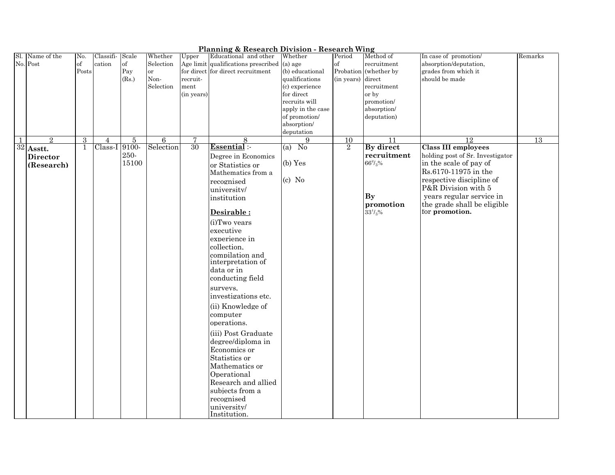|     | <b>Planning &amp; Research Division - Research Wing</b><br>Educational and other<br>In case of promotion/<br>Name of the<br>No.<br>Scale<br>Whether<br>Upper<br>Method of<br>Classifi-<br>Whether<br>Period<br>Remarks |          |               |       |                |            |                                               |                     |                   |                 |                                  |    |
|-----|------------------------------------------------------------------------------------------------------------------------------------------------------------------------------------------------------------------------|----------|---------------|-------|----------------|------------|-----------------------------------------------|---------------------|-------------------|-----------------|----------------------------------|----|
| Sl. |                                                                                                                                                                                                                        |          |               |       |                |            |                                               |                     |                   |                 |                                  |    |
|     | No. Post                                                                                                                                                                                                               | $\sigma$ | cation        | of    | Selection      |            | Age limit qualifications prescribed $(a)$ age |                     | $\sigma$          | recruitment     | absorption/deputation,           |    |
|     |                                                                                                                                                                                                                        | Posts    |               | Pay   | <b>or</b>      |            | for direct for direct recruitment             | (b) educational     | Probation         | (whether by     | grades from which it             |    |
|     |                                                                                                                                                                                                                        |          |               | (Rs.) | Non-           | recruit-   |                                               | qualifications      | (in years) direct |                 | should be made                   |    |
|     |                                                                                                                                                                                                                        |          |               |       | Selection      | ment       |                                               | (c) experience      |                   | recruitment     |                                  |    |
|     |                                                                                                                                                                                                                        |          |               |       |                | (in years) |                                               | for direct          |                   | or by           |                                  |    |
|     |                                                                                                                                                                                                                        |          |               |       |                |            |                                               | recruits will       |                   | promotion/      |                                  |    |
|     |                                                                                                                                                                                                                        |          |               |       |                |            |                                               | apply in the case   |                   | absorption/     |                                  |    |
|     |                                                                                                                                                                                                                        |          |               |       |                |            |                                               | of promotion/       |                   | deputation)     |                                  |    |
|     |                                                                                                                                                                                                                        |          |               |       |                |            |                                               | absorption/         |                   |                 |                                  |    |
|     |                                                                                                                                                                                                                        |          |               |       |                |            |                                               | deputation          |                   |                 |                                  |    |
| 1   | $\overline{2}$                                                                                                                                                                                                         | 3        | 4             | 5     | $\overline{6}$ | 7          | 8                                             | 9                   | 10                | 11              | 12                               | 13 |
|     | $32$ Asstt.                                                                                                                                                                                                            | 1        | Class-I 9100- |       | Selection      | 30         | Essential :-                                  | $\sqrt{N_0}$<br>(a) | $\overline{2}$    | By direct       | <b>Class III employees</b>       |    |
|     | <b>Director</b>                                                                                                                                                                                                        |          |               | 250-  |                |            | Degree in Economics                           |                     |                   | recruitment     | holding post of Sr. Investigator |    |
|     | (Research)                                                                                                                                                                                                             |          |               | 15100 |                |            | or Statistics or                              | $(b)$ Yes           |                   | $66^{2}/_{3}\%$ | in the scale of pay of           |    |
|     |                                                                                                                                                                                                                        |          |               |       |                |            | Mathematics from a                            |                     |                   |                 | Rs.6170-11975 in the             |    |
|     |                                                                                                                                                                                                                        |          |               |       |                |            | recognised                                    | $(c)$ No            |                   |                 | respective discipline of         |    |
|     |                                                                                                                                                                                                                        |          |               |       |                |            | university/                                   |                     |                   |                 | P&R Division with 5              |    |
|     |                                                                                                                                                                                                                        |          |               |       |                |            | institution                                   |                     |                   | <b>By</b>       | years regular service in         |    |
|     |                                                                                                                                                                                                                        |          |               |       |                |            |                                               |                     |                   | promotion       | the grade shall be eligible      |    |
|     |                                                                                                                                                                                                                        |          |               |       |                |            | Desirable:                                    |                     |                   | $33^{1}/3%$     | for promotion.                   |    |
|     |                                                                                                                                                                                                                        |          |               |       |                |            | (i)Two years                                  |                     |                   |                 |                                  |    |
|     |                                                                                                                                                                                                                        |          |               |       |                |            | executive                                     |                     |                   |                 |                                  |    |
|     |                                                                                                                                                                                                                        |          |               |       |                |            | experience in                                 |                     |                   |                 |                                  |    |
|     |                                                                                                                                                                                                                        |          |               |       |                |            | collection,                                   |                     |                   |                 |                                  |    |
|     |                                                                                                                                                                                                                        |          |               |       |                |            | compilation and                               |                     |                   |                 |                                  |    |
|     |                                                                                                                                                                                                                        |          |               |       |                |            | interpretation of                             |                     |                   |                 |                                  |    |
|     |                                                                                                                                                                                                                        |          |               |       |                |            | data or in                                    |                     |                   |                 |                                  |    |
|     |                                                                                                                                                                                                                        |          |               |       |                |            | conducting field                              |                     |                   |                 |                                  |    |
|     |                                                                                                                                                                                                                        |          |               |       |                |            | surveys.                                      |                     |                   |                 |                                  |    |
|     |                                                                                                                                                                                                                        |          |               |       |                |            | investigations etc.                           |                     |                   |                 |                                  |    |
|     |                                                                                                                                                                                                                        |          |               |       |                |            |                                               |                     |                   |                 |                                  |    |
|     |                                                                                                                                                                                                                        |          |               |       |                |            | (ii) Knowledge of                             |                     |                   |                 |                                  |    |
|     |                                                                                                                                                                                                                        |          |               |       |                |            | computer                                      |                     |                   |                 |                                  |    |
|     |                                                                                                                                                                                                                        |          |               |       |                |            | operations.                                   |                     |                   |                 |                                  |    |
|     |                                                                                                                                                                                                                        |          |               |       |                |            | (iii) Post Graduate                           |                     |                   |                 |                                  |    |
|     |                                                                                                                                                                                                                        |          |               |       |                |            | degree/diploma in                             |                     |                   |                 |                                  |    |
|     |                                                                                                                                                                                                                        |          |               |       |                |            | Economics or                                  |                     |                   |                 |                                  |    |
|     |                                                                                                                                                                                                                        |          |               |       |                |            | Statistics or                                 |                     |                   |                 |                                  |    |
|     |                                                                                                                                                                                                                        |          |               |       |                |            | Mathematics or                                |                     |                   |                 |                                  |    |
|     |                                                                                                                                                                                                                        |          |               |       |                |            | Operational                                   |                     |                   |                 |                                  |    |
|     |                                                                                                                                                                                                                        |          |               |       |                |            | Research and allied                           |                     |                   |                 |                                  |    |
|     |                                                                                                                                                                                                                        |          |               |       |                |            | subjects from a                               |                     |                   |                 |                                  |    |
|     |                                                                                                                                                                                                                        |          |               |       |                |            |                                               |                     |                   |                 |                                  |    |
|     |                                                                                                                                                                                                                        |          |               |       |                |            | recognised                                    |                     |                   |                 |                                  |    |
|     |                                                                                                                                                                                                                        |          |               |       |                |            | university/<br>Institution.                   |                     |                   |                 |                                  |    |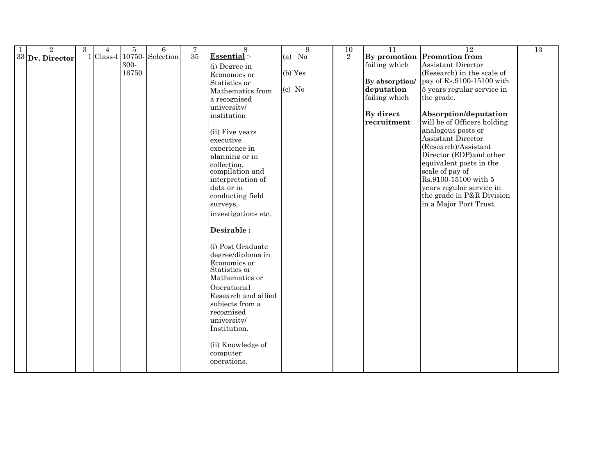| $\overline{2}$    | 3 | 4           | $\overline{5}$ | $\overline{6}$  | 7  | $\overline{8}$                               | $\overline{9}$ | $\overline{10}$ | $\overline{11}$ | <sup>12</sup>               | 13 |
|-------------------|---|-------------|----------------|-----------------|----|----------------------------------------------|----------------|-----------------|-----------------|-----------------------------|----|
| $33$ Dv. Director |   | $1$ Class-I |                | 10750-Selection | 35 | Essential :-                                 | $(a)$ No       | $\overline{2}$  | By promotion    | <b>Promotion from</b>       |    |
|                   |   |             | 300-           |                 |    | (i) Degree in                                |                |                 | failing which   | <b>Assistant Director</b>   |    |
|                   |   |             | 16750          |                 |    | Economics or                                 | (b) Yes        |                 |                 | (Research) in the scale of  |    |
|                   |   |             |                |                 |    | Statistics or                                |                |                 | By absorption/  | pay of Rs.9100-15100 with   |    |
|                   |   |             |                |                 |    | Mathematics from                             | $(c)$ No       |                 | deputation      | 5 years regular service in  |    |
|                   |   |             |                |                 |    | a recognised                                 |                |                 | failing which   | the grade.                  |    |
|                   |   |             |                |                 |    | university/                                  |                |                 |                 |                             |    |
|                   |   |             |                |                 |    | institution                                  |                |                 | By direct       | Absorption/deputation       |    |
|                   |   |             |                |                 |    |                                              |                |                 | recruitment     | will be of Officers holding |    |
|                   |   |             |                |                 |    | (ii) Five years                              |                |                 |                 | analogous posts or          |    |
|                   |   |             |                |                 |    | executive                                    |                |                 |                 | Assistant Director          |    |
|                   |   |             |                |                 |    | experience in                                |                |                 |                 | (Research)/Assistant        |    |
|                   |   |             |                |                 |    | planning or in                               |                |                 |                 | Director (EDP)and other     |    |
|                   |   |             |                |                 |    | collection.                                  |                |                 |                 | equivalent posts in the     |    |
|                   |   |             |                |                 |    | compilation and                              |                |                 |                 | scale of pay of             |    |
|                   |   |             |                |                 |    | interpretation of                            |                |                 |                 | Rs.9100-15100 with 5        |    |
|                   |   |             |                |                 |    | data or in                                   |                |                 |                 | years regular service in    |    |
|                   |   |             |                |                 |    | conducting field                             |                |                 |                 | the grade in P&R Division   |    |
|                   |   |             |                |                 |    | surveys,                                     |                |                 |                 | in a Major Port Trust.      |    |
|                   |   |             |                |                 |    | investigations etc.                          |                |                 |                 |                             |    |
|                   |   |             |                |                 |    |                                              |                |                 |                 |                             |    |
|                   |   |             |                |                 |    | Desirable:                                   |                |                 |                 |                             |    |
|                   |   |             |                |                 |    |                                              |                |                 |                 |                             |    |
|                   |   |             |                |                 |    | (i) Post Graduate                            |                |                 |                 |                             |    |
|                   |   |             |                |                 |    | degree/diploma in                            |                |                 |                 |                             |    |
|                   |   |             |                |                 |    | Economics or                                 |                |                 |                 |                             |    |
|                   |   |             |                |                 |    | Statistics or                                |                |                 |                 |                             |    |
|                   |   |             |                |                 |    | Mathematics or                               |                |                 |                 |                             |    |
|                   |   |             |                |                 |    | Operational                                  |                |                 |                 |                             |    |
|                   |   |             |                |                 |    | Research and allied                          |                |                 |                 |                             |    |
|                   |   |             |                |                 |    | subjects from a                              |                |                 |                 |                             |    |
|                   |   |             |                |                 |    | recognised                                   |                |                 |                 |                             |    |
|                   |   |             |                |                 |    | university/                                  |                |                 |                 |                             |    |
|                   |   |             |                |                 |    |                                              |                |                 |                 |                             |    |
|                   |   |             |                |                 |    | Institution.                                 |                |                 |                 |                             |    |
|                   |   |             |                |                 |    |                                              |                |                 |                 |                             |    |
|                   |   |             |                |                 |    |                                              |                |                 |                 |                             |    |
|                   |   |             |                |                 |    |                                              |                |                 |                 |                             |    |
|                   |   |             |                |                 |    |                                              |                |                 |                 |                             |    |
|                   |   |             |                |                 |    | (ii) Knowledge of<br>computer<br>operations. |                |                 |                 |                             |    |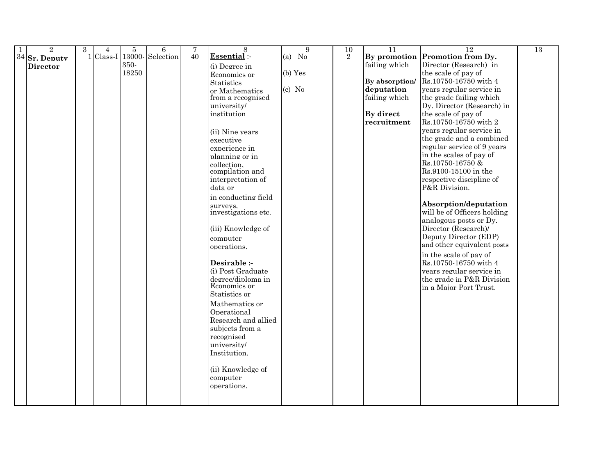| $\overline{2}$  | 3 | 4           | 5     | 6               | 7  | 8                   | 9         | 10             | $\overline{11}$ | 12                              | 13 |
|-----------------|---|-------------|-------|-----------------|----|---------------------|-----------|----------------|-----------------|---------------------------------|----|
| $34$ Sr. Deputy |   | $1$ Class-I |       | 13000-Selection | 40 | Essential:-         | $(a)$ No  | $\overline{2}$ |                 | By promotion Promotion from Dy. |    |
| <b>Director</b> |   |             | 350-  |                 |    | (i) Degree in       |           |                | failing which   | Director (Research) in          |    |
|                 |   |             | 18250 |                 |    | Economics or        | $(b)$ Yes |                |                 | the scale of pay of             |    |
|                 |   |             |       |                 |    | <b>Statistics</b>   |           |                | By absorption/  | Rs.10750-16750 with 4           |    |
|                 |   |             |       |                 |    | or Mathematics      | $(c)$ No  |                | deputation      | years regular service in        |    |
|                 |   |             |       |                 |    | from a recognised   |           |                | failing which   | the grade failing which         |    |
|                 |   |             |       |                 |    | university/         |           |                |                 | Dy. Director (Research) in      |    |
|                 |   |             |       |                 |    | institution         |           |                | By direct       | the scale of pay of             |    |
|                 |   |             |       |                 |    |                     |           |                | recruitment     | Rs.10750-16750 with 2           |    |
|                 |   |             |       |                 |    | (ii) Nine years     |           |                |                 | years regular service in        |    |
|                 |   |             |       |                 |    | executive           |           |                |                 | the grade and a combined        |    |
|                 |   |             |       |                 |    | experience in       |           |                |                 | regular service of 9 years      |    |
|                 |   |             |       |                 |    | planning or in      |           |                |                 | in the scales of pay of         |    |
|                 |   |             |       |                 |    | collection.         |           |                |                 | Rs.10750-16750&                 |    |
|                 |   |             |       |                 |    | compilation and     |           |                |                 | Rs.9100-15100 in the            |    |
|                 |   |             |       |                 |    | interpretation of   |           |                |                 | respective discipline of        |    |
|                 |   |             |       |                 |    | data or             |           |                |                 | P&R Division.                   |    |
|                 |   |             |       |                 |    | in conducting field |           |                |                 |                                 |    |
|                 |   |             |       |                 |    | surveys.            |           |                |                 | Absorption/deputation           |    |
|                 |   |             |       |                 |    | investigations etc. |           |                |                 | will be of Officers holding     |    |
|                 |   |             |       |                 |    |                     |           |                |                 | analogous posts or Dy.          |    |
|                 |   |             |       |                 |    | (iii) Knowledge of  |           |                |                 | Director (Research)/            |    |
|                 |   |             |       |                 |    | computer            |           |                |                 | Deputy Director (EDP)           |    |
|                 |   |             |       |                 |    | operations.         |           |                |                 | and other equivalent posts      |    |
|                 |   |             |       |                 |    |                     |           |                |                 | in the scale of pay of          |    |
|                 |   |             |       |                 |    | Desirable :-        |           |                |                 | Rs.10750-16750 with 4           |    |
|                 |   |             |       |                 |    | (i) Post Graduate   |           |                |                 | years regular service in        |    |
|                 |   |             |       |                 |    | degree/diploma in   |           |                |                 | the grade in P&R Division       |    |
|                 |   |             |       |                 |    | Economics or        |           |                |                 | in a Major Port Trust.          |    |
|                 |   |             |       |                 |    | Statistics or       |           |                |                 |                                 |    |
|                 |   |             |       |                 |    | Mathematics or      |           |                |                 |                                 |    |
|                 |   |             |       |                 |    | Operational         |           |                |                 |                                 |    |
|                 |   |             |       |                 |    | Research and allied |           |                |                 |                                 |    |
|                 |   |             |       |                 |    | subjects from a     |           |                |                 |                                 |    |
|                 |   |             |       |                 |    | recognised          |           |                |                 |                                 |    |
|                 |   |             |       |                 |    | university/         |           |                |                 |                                 |    |
|                 |   |             |       |                 |    | Institution.        |           |                |                 |                                 |    |
|                 |   |             |       |                 |    |                     |           |                |                 |                                 |    |
|                 |   |             |       |                 |    | (ii) Knowledge of   |           |                |                 |                                 |    |
|                 |   |             |       |                 |    | computer            |           |                |                 |                                 |    |
|                 |   |             |       |                 |    | operations.         |           |                |                 |                                 |    |
|                 |   |             |       |                 |    |                     |           |                |                 |                                 |    |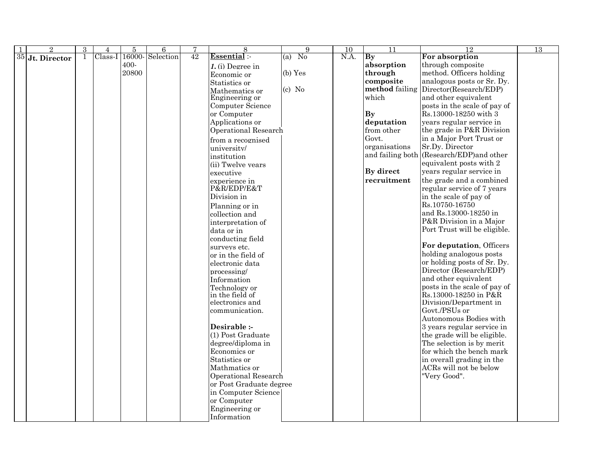|    | $\overline{2}$ | 3 | 4       | $\bf 5$ | 6               | 7  | 8                                | $\overline{9}$ | $\overline{10}$ | $\overline{11}$        | 12                                        | 13 |
|----|----------------|---|---------|---------|-----------------|----|----------------------------------|----------------|-----------------|------------------------|-------------------------------------------|----|
| 35 | Jt. Director   |   | Class-I |         | 16000-Selection | 42 | Essential:                       | $(a)$ No       | N.A.            | $\mathbf{B}\mathbf{y}$ | For absorption                            |    |
|    |                |   |         | $400 -$ |                 |    | $1.$ (i) Degree in               |                |                 | absorption             | through composite                         |    |
|    |                |   |         | 20800   |                 |    | Economic or                      | $(b)$ Yes      |                 | through                | method. Officers holding                  |    |
|    |                |   |         |         |                 |    | Statistics or                    |                |                 | composite              | analogous posts or Sr. Dy.                |    |
|    |                |   |         |         |                 |    | Mathematics or                   | $(c)$ No       |                 | method failing         | Director(Research/EDP)                    |    |
|    |                |   |         |         |                 |    | Engineering or                   |                |                 | which                  | and other equivalent                      |    |
|    |                |   |         |         |                 |    | Computer Science                 |                |                 |                        | posts in the scale of pay of              |    |
|    |                |   |         |         |                 |    | or Computer                      |                |                 | <b>By</b>              | Rs.13000-18250 with 3                     |    |
|    |                |   |         |         |                 |    | Applications or                  |                |                 | deputation             | years regular service in                  |    |
|    |                |   |         |         |                 |    | <b>Operational Research</b>      |                |                 | from other             | the grade in P&R Division                 |    |
|    |                |   |         |         |                 |    | from a recognised                |                |                 | Govt.                  | in a Major Port Trust or                  |    |
|    |                |   |         |         |                 |    | university/                      |                |                 | organisations          | Sr.Dy. Director                           |    |
|    |                |   |         |         |                 |    | institution                      |                |                 |                        | and failing both (Research/EDP) and other |    |
|    |                |   |         |         |                 |    | (ii) Twelve years                |                |                 |                        | equivalent posts with 2                   |    |
|    |                |   |         |         |                 |    | executive                        |                |                 | By direct              | years regular service in                  |    |
|    |                |   |         |         |                 |    | experience in                    |                |                 | recruitment            | the grade and a combined                  |    |
|    |                |   |         |         |                 |    | P&R/EDP/E&T                      |                |                 |                        | regular service of 7 years                |    |
|    |                |   |         |         |                 |    | Division in                      |                |                 |                        | in the scale of pay of                    |    |
|    |                |   |         |         |                 |    | Planning or in                   |                |                 |                        | Rs.10750-16750                            |    |
|    |                |   |         |         |                 |    |                                  |                |                 |                        | and Rs.13000-18250 in                     |    |
|    |                |   |         |         |                 |    | collection and                   |                |                 |                        | P&R Division in a Major                   |    |
|    |                |   |         |         |                 |    | interpretation of                |                |                 |                        | Port Trust will be eligible.              |    |
|    |                |   |         |         |                 |    | data or in                       |                |                 |                        |                                           |    |
|    |                |   |         |         |                 |    | conducting field                 |                |                 |                        | For deputation, Officers                  |    |
|    |                |   |         |         |                 |    | surveys etc.                     |                |                 |                        | holding analogous posts                   |    |
|    |                |   |         |         |                 |    | or in the field of               |                |                 |                        | or holding posts of Sr. Dy.               |    |
|    |                |   |         |         |                 |    | electronic data                  |                |                 |                        | Director (Research/EDP)                   |    |
|    |                |   |         |         |                 |    | processing/                      |                |                 |                        | and other equivalent                      |    |
|    |                |   |         |         |                 |    | Information                      |                |                 |                        | posts in the scale of pay of              |    |
|    |                |   |         |         |                 |    | Technology or<br>in the field of |                |                 |                        | Rs.13000-18250 in P&R                     |    |
|    |                |   |         |         |                 |    | electronics and                  |                |                 |                        | Division/Department in                    |    |
|    |                |   |         |         |                 |    | communication.                   |                |                 |                        | Govt./PSUs or                             |    |
|    |                |   |         |         |                 |    |                                  |                |                 |                        | Autonomous Bodies with                    |    |
|    |                |   |         |         |                 |    | Desirable :-                     |                |                 |                        | 3 years regular service in                |    |
|    |                |   |         |         |                 |    | (1) Post Graduate                |                |                 |                        | the grade will be eligible.               |    |
|    |                |   |         |         |                 |    | degree/diploma in                |                |                 |                        | The selection is by merit                 |    |
|    |                |   |         |         |                 |    | Economics or                     |                |                 |                        | for which the bench mark                  |    |
|    |                |   |         |         |                 |    | Statistics or                    |                |                 |                        | in overall grading in the                 |    |
|    |                |   |         |         |                 |    | Mathmatics or                    |                |                 |                        | ACRs will not be below                    |    |
|    |                |   |         |         |                 |    | <b>Operational Research</b>      |                |                 |                        | "Very Good".                              |    |
|    |                |   |         |         |                 |    | or Post Graduate degree          |                |                 |                        |                                           |    |
|    |                |   |         |         |                 |    | in Computer Science              |                |                 |                        |                                           |    |
|    |                |   |         |         |                 |    | or Computer                      |                |                 |                        |                                           |    |
|    |                |   |         |         |                 |    | Engineering or                   |                |                 |                        |                                           |    |
|    |                |   |         |         |                 |    | Information                      |                |                 |                        |                                           |    |
|    |                |   |         |         |                 |    |                                  |                |                 |                        |                                           |    |